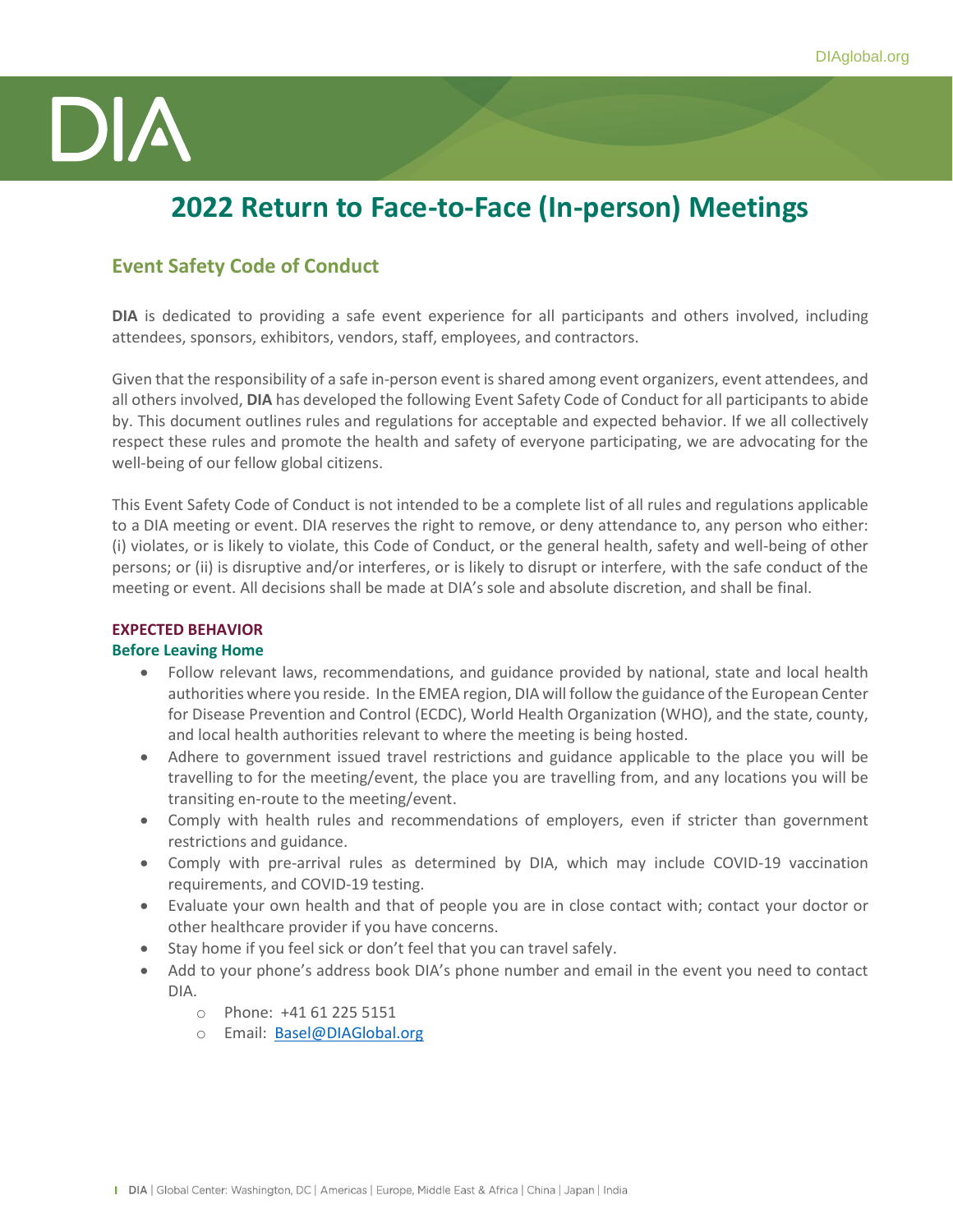

# **2022 Return to Face-to-Face (In-person) Meetings**

### **Event Safety Code of Conduct**

**DIA** is dedicated to providing a safe event experience for all participants and others involved, including attendees, sponsors, exhibitors, vendors, staff, employees, and contractors.

Given that the responsibility of a safe in-person event is shared among event organizers, event attendees, and all others involved, **DIA** has developed the following Event Safety Code of Conduct for all participants to abide by. This document outlines rules and regulations for acceptable and expected behavior. If we all collectively respect these rules and promote the health and safety of everyone participating, we are advocating for the well-being of our fellow global citizens.

This Event Safety Code of Conduct is not intended to be a complete list of all rules and regulations applicable to a DIA meeting or event. DIA reserves the right to remove, or deny attendance to, any person who either: (i) violates, or is likely to violate, this Code of Conduct, or the general health, safety and well-being of other persons; or (ii) is disruptive and/or interferes, or is likely to disrupt or interfere, with the safe conduct of the meeting or event. All decisions shall be made at DIA's sole and absolute discretion, and shall be final.

## **EXPECTED BEHAVIOR**

#### **Before Leaving Home**

- Follow relevant laws, recommendations, and guidance provided by national, state and local health authorities where you reside. In the EMEA region, DIA will follow the guidance of the European Center for Disease Prevention and Control (ECDC), World Health Organization (WHO), and the state, county, and local health authorities relevant to where the meeting is being hosted.
- Adhere to government issued travel restrictions and guidance applicable to the place you will be travelling to for the meeting/event, the place you are travelling from, and any locations you will be transiting en-route to the meeting/event.
- Comply with health rules and recommendations of employers, even if stricter than government restrictions and guidance.
- Comply with pre-arrival rules as determined by DIA, which may include COVID-19 vaccination requirements, and COVID-19 testing.
- Evaluate your own health and that of people you are in close contact with; contact your doctor or other healthcare provider if you have concerns.
- Stay home if you feel sick or don't feel that you can travel safely.
- Add to your phone's address book DIA's phone number and email in the event you need to contact DIA.
	- o Phone: +41 61 225 5151
	- o Email: Basel@DIAGlobal.org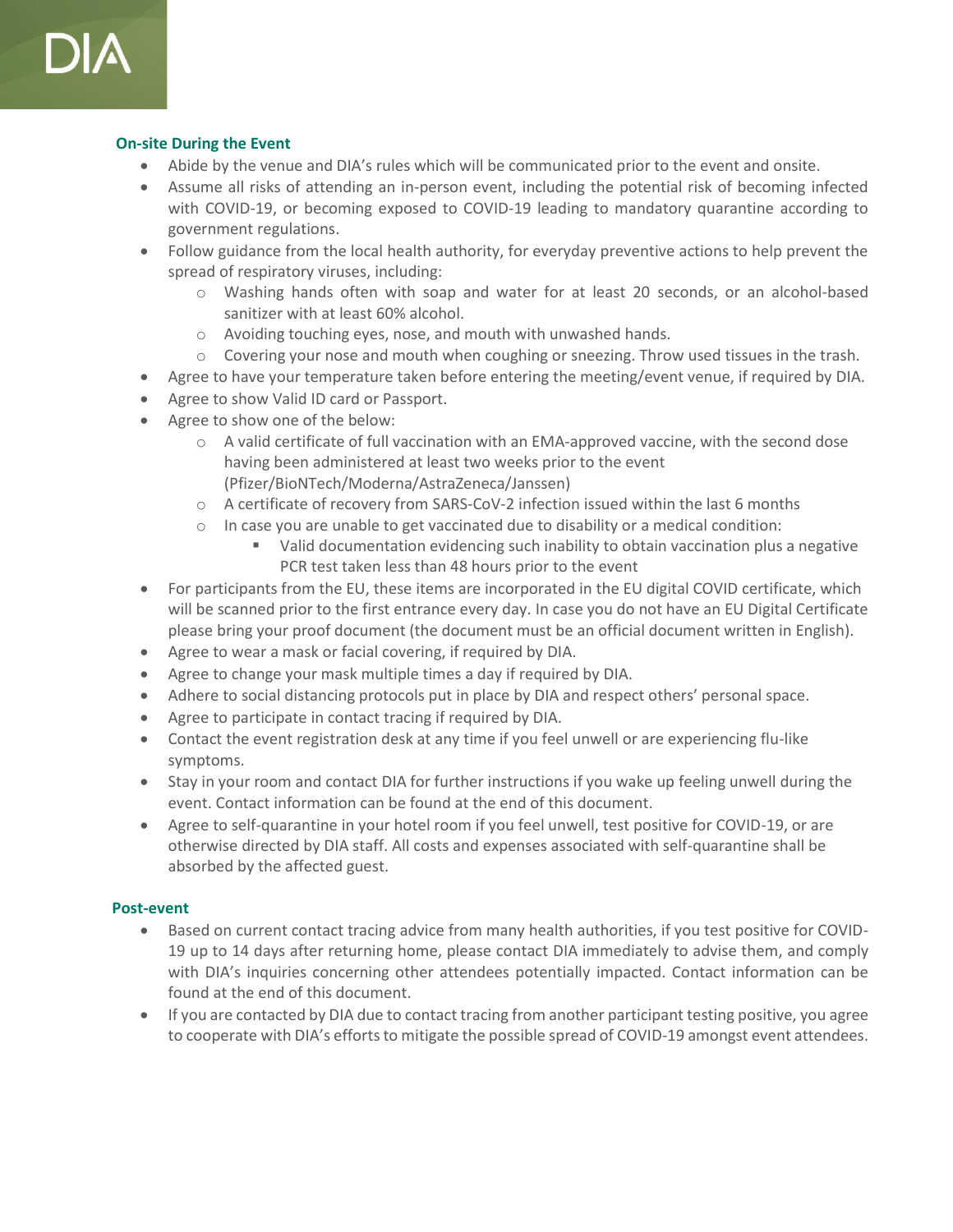

#### **On-site During the Event**

- Abide by the venue and DIA's rules which will be communicated prior to the event and onsite.
- Assume all risks of attending an in-person event, including the potential risk of becoming infected with COVID-19, or becoming exposed to COVID-19 leading to mandatory quarantine according to government regulations.
- Follow guidance from the local health authority, for everyday preventive actions to help prevent the spread of respiratory viruses, including:
	- o Washing hands often with soap and water for at least 20 seconds, or an alcohol-based sanitizer with at least 60% alcohol.
	- o Avoiding touching eyes, nose, and mouth with unwashed hands.
	- $\circ$  Covering your nose and mouth when coughing or sneezing. Throw used tissues in the trash.
- Agree to have your temperature taken before entering the meeting/event venue, if required by DIA.
- Agree to show Valid ID card or Passport.
- Agree to show one of the below:
	- $\circ$  A valid certificate of full vaccination with an EMA-approved vaccine, with the second dose having been administered at least two weeks prior to the event (Pfizer/BioNTech/Moderna/AstraZeneca/Janssen)
	- o A certificate of recovery from SARS-CoV-2 infection issued within the last 6 months
	- $\circ$  In case you are unable to get vaccinated due to disability or a medical condition:
		- Valid documentation evidencing such inability to obtain vaccination plus a negative PCR test taken less than 48 hours prior to the event
- For participants from the EU, these items are incorporated in the EU digital COVID certificate, which will be scanned prior to the first entrance every day. In case you do not have an EU Digital Certificate please bring your proof document (the document must be an official document written in English).
- Agree to wear a mask or facial covering, if required by DIA.
- Agree to change your mask multiple times a day if required by DIA.
- Adhere to social distancing protocols put in place by DIA and respect others' personal space.
- Agree to participate in contact tracing if required by DIA.
- Contact the event registration desk at any time if you feel unwell or are experiencing flu-like symptoms.
- Stay in your room and contact DIA for further instructions if you wake up feeling unwell during the event. Contact information can be found at the end of this document.
- Agree to self-quarantine in your hotel room if you feel unwell, test positive for COVID-19, or are otherwise directed by DIA staff. All costs and expenses associated with self-quarantine shall be absorbed by the affected guest.

#### **Post-event**

- Based on current contact tracing advice from many health authorities, if you test positive for COVID-19 up to 14 days after returning home, please contact DIA immediately to advise them, and comply with DIA's inquiries concerning other attendees potentially impacted. Contact information can be found at the end of this document.
- If you are contacted by DIA due to contact tracing from another participant testing positive, you agree to cooperate with DIA's efforts to mitigate the possible spread of COVID-19 amongst event attendees.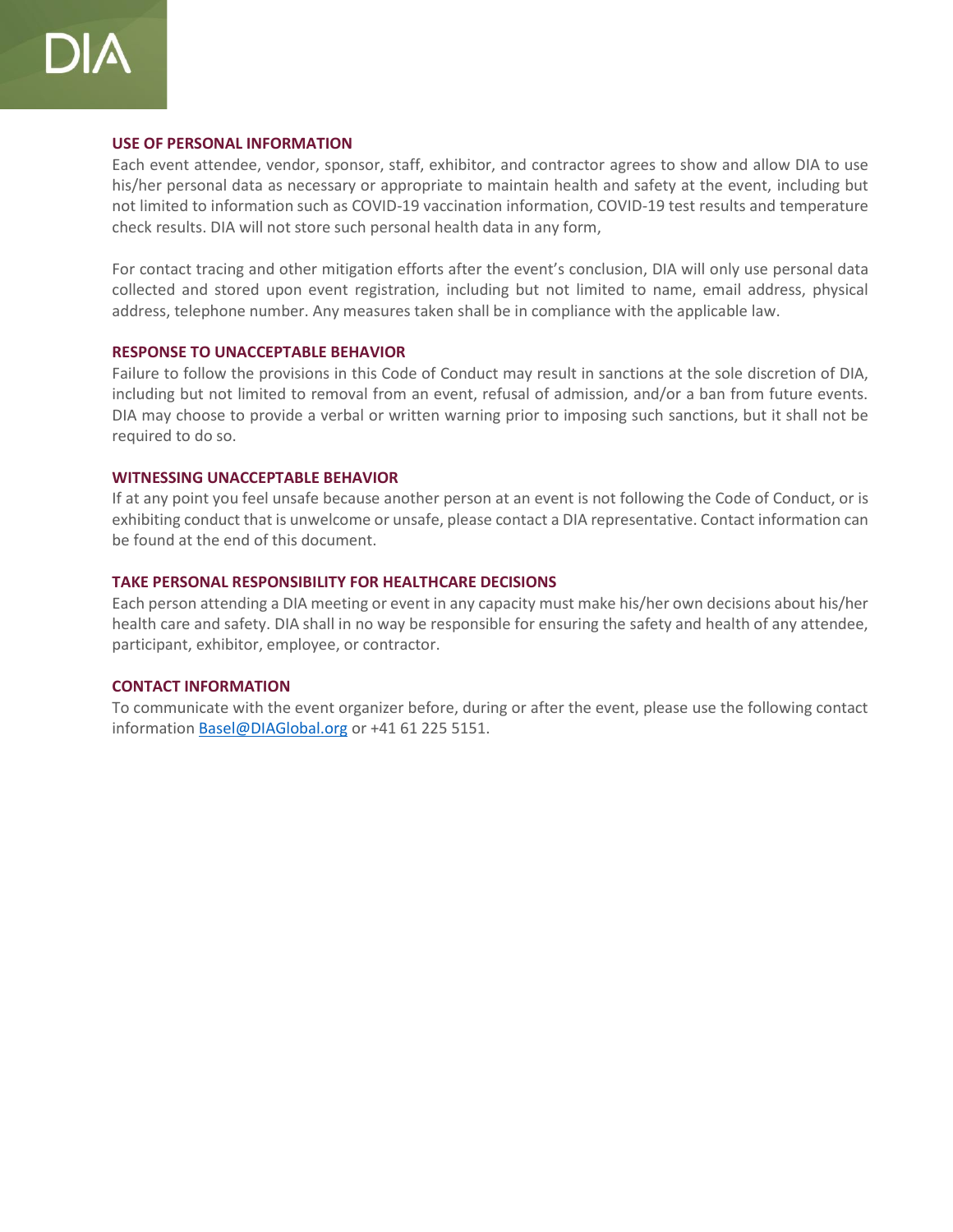

#### **USE OF PERSONAL INFORMATION**

Each event attendee, vendor, sponsor, staff, exhibitor, and contractor agrees to show and allow DIA to use his/her personal data as necessary or appropriate to maintain health and safety at the event, including but not limited to information such as COVID-19 vaccination information, COVID-19 test results and temperature check results. DIA will not store such personal health data in any form,

For contact tracing and other mitigation efforts after the event's conclusion, DIA will only use personal data collected and stored upon event registration, including but not limited to name, email address, physical address, telephone number. Any measures taken shall be in compliance with the applicable law.

#### **RESPONSE TO UNACCEPTABLE BEHAVIOR**

Failure to follow the provisions in this Code of Conduct may result in sanctions at the sole discretion of DIA, including but not limited to removal from an event, refusal of admission, and/or a ban from future events. DIA may choose to provide a verbal or written warning prior to imposing such sanctions, but it shall not be required to do so.

#### **WITNESSING UNACCEPTABLE BEHAVIOR**

If at any point you feel unsafe because another person at an event is not following the Code of Conduct, or is exhibiting conduct that is unwelcome or unsafe, please contact a DIA representative. Contact information can be found at the end of this document.

#### **TAKE PERSONAL RESPONSIBILITY FOR HEALTHCARE DECISIONS**

Each person attending a DIA meeting or event in any capacity must make his/her own decisions about his/her health care and safety. DIA shall in no way be responsible for ensuring the safety and health of any attendee, participant, exhibitor, employee, or contractor.

#### **CONTACT INFORMATION**

To communicate with the event organizer before, during or after the event, please use the following contact information Basel@DIAGlobal.org or +41 61 225 5151.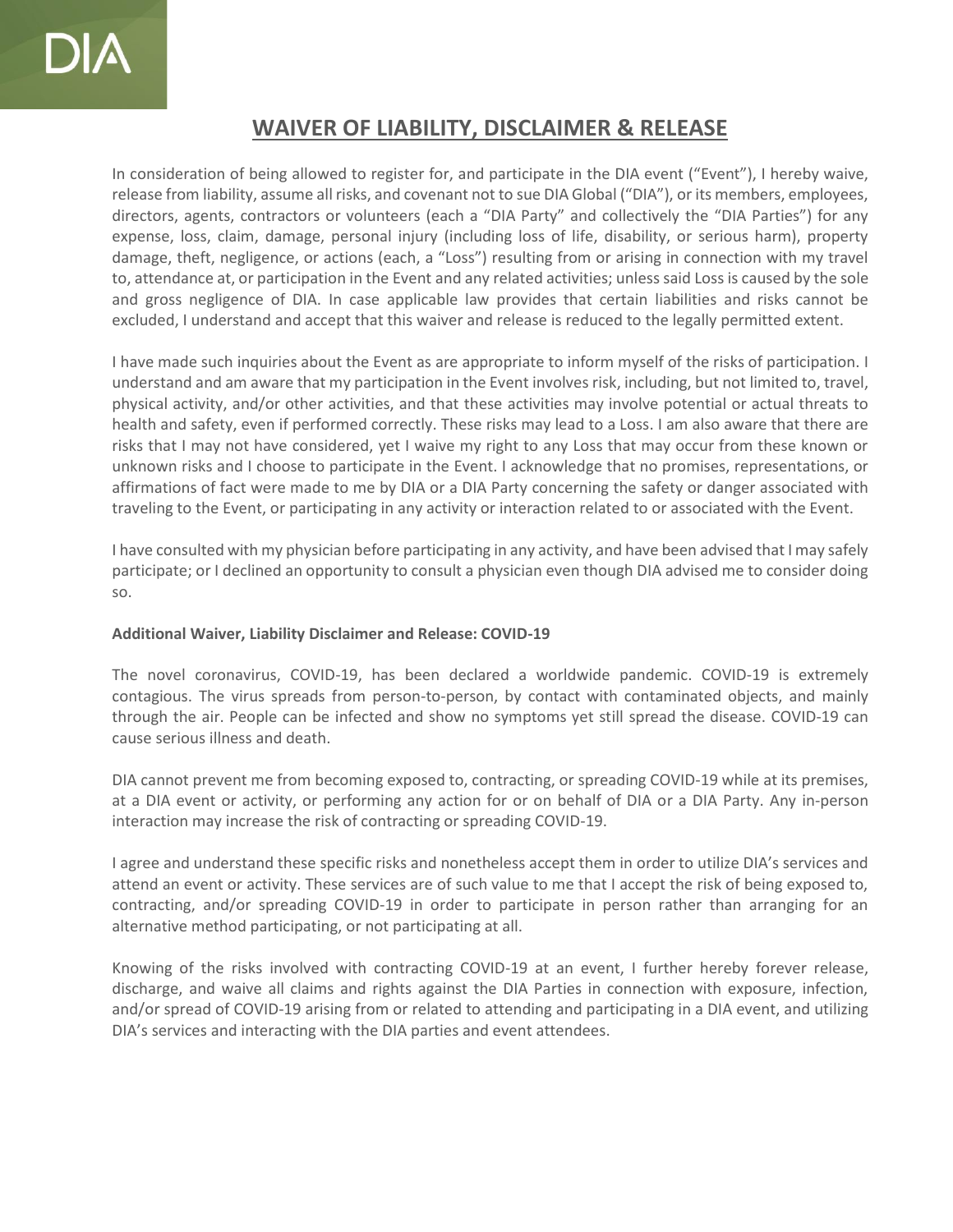## **WAIVER OF LIABILITY, DISCLAIMER & RELEASE**

In consideration of being allowed to register for, and participate in the DIA event ("Event"), I hereby waive, release from liability, assume all risks, and covenant not to sue DIA Global ("DIA"), or its members, employees, directors, agents, contractors or volunteers (each a "DIA Party" and collectively the "DIA Parties") for any expense, loss, claim, damage, personal injury (including loss of life, disability, or serious harm), property damage, theft, negligence, or actions (each, a "Loss") resulting from or arising in connection with my travel to, attendance at, or participation in the Event and any related activities; unless said Loss is caused by the sole and gross negligence of DIA. In case applicable law provides that certain liabilities and risks cannot be excluded, I understand and accept that this waiver and release is reduced to the legally permitted extent.

I have made such inquiries about the Event as are appropriate to inform myself of the risks of participation. I understand and am aware that my participation in the Event involves risk, including, but not limited to, travel, physical activity, and/or other activities, and that these activities may involve potential or actual threats to health and safety, even if performed correctly. These risks may lead to a Loss. I am also aware that there are risks that I may not have considered, yet I waive my right to any Loss that may occur from these known or unknown risks and I choose to participate in the Event. I acknowledge that no promises, representations, or affirmations of fact were made to me by DIA or a DIA Party concerning the safety or danger associated with traveling to the Event, or participating in any activity or interaction related to or associated with the Event.

I have consulted with my physician before participating in any activity, and have been advised that I may safely participate; or I declined an opportunity to consult a physician even though DIA advised me to consider doing so.

#### **Additional Waiver, Liability Disclaimer and Release: COVID-19**

The novel coronavirus, COVID-19, has been declared a worldwide pandemic. COVID-19 is extremely contagious. The virus spreads from person-to-person, by contact with contaminated objects, and mainly through the air. People can be infected and show no symptoms yet still spread the disease. COVID-19 can cause serious illness and death.

DIA cannot prevent me from becoming exposed to, contracting, or spreading COVID-19 while at its premises, at a DIA event or activity, or performing any action for or on behalf of DIA or a DIA Party. Any in-person interaction may increase the risk of contracting or spreading COVID-19.

I agree and understand these specific risks and nonetheless accept them in order to utilize DIA's services and attend an event or activity. These services are of such value to me that I accept the risk of being exposed to, contracting, and/or spreading COVID-19 in order to participate in person rather than arranging for an alternative method participating, or not participating at all.

Knowing of the risks involved with contracting COVID-19 at an event, I further hereby forever release, discharge, and waive all claims and rights against the DIA Parties in connection with exposure, infection, and/or spread of COVID-19 arising from or related to attending and participating in a DIA event, and utilizing DIA's services and interacting with the DIA parties and event attendees.